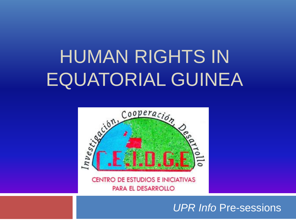# HUMAN RIGHTS IN EQUATORIAL GUINEA



**CENTRO DE ESTUDIOS E INICIATIVAS** PARA EL DESARROLLO

#### *UPR Info* Pre-sessions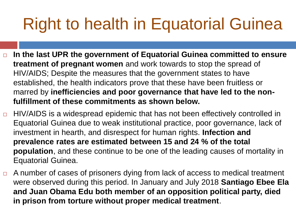### Right to health in Equatorial Guinea

- **In the last UPR the government of Equatorial Guinea committed to ensure treatment of pregnant women** and work towards to stop the spread of HIV/AIDS; Despite the measures that the government states to have established, the health indicators prove that these have been fruitless or marred by **inefficiencies and poor governance that have led to the nonfulfillment of these commitments as shown below.**
- $\Box$  HIV/AIDS is a widespread epidemic that has not been effectively controlled in Equatorial Guinea due to weak institutional practice, poor governance, lack of investment in hearth, and disrespect for human rights. **Infection and prevalence rates are estimated between 15 and 24 % of the total population**, and these continue to be one of the leading causes of mortality in Equatorial Guinea.
- $\Box$  A number of cases of prisoners dying from lack of access to medical treatment were observed during this period. In January and July 2018 **Santiago Ebee Ela and Juan Obama Edu both member of an opposition political party, died in prison from torture without proper medical treatment**.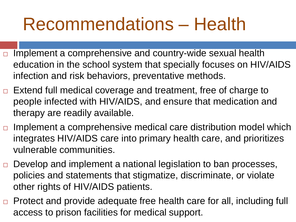### Recommendations – Health

- $\Box$  Implement a comprehensive and country-wide sexual health education in the school system that specially focuses on HIV/AIDS infection and risk behaviors, preventative methods.
- $\Box$  Extend full medical coverage and treatment, free of charge to people infected with HIV/AIDS, and ensure that medication and therapy are readily available.
- $\Box$  Implement a comprehensive medical care distribution model which integrates HIV/AIDS care into primary health care, and prioritizes vulnerable communities.
- $\Box$  Develop and implement a national legislation to ban processes, policies and statements that stigmatize, discriminate, or violate other rights of HIV/AIDS patients.
- Protect and provide adequate free health care for all, including full access to prison facilities for medical support.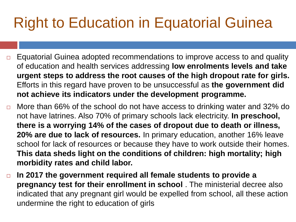### Right to Education in Equatorial Guinea

- $\Box$  Equatorial Guinea adopted recommendations to improve access to and quality of education and health services addressing **low enrolments levels and take urgent steps to address the root causes of the high dropout rate for girls.** Efforts in this regard have proven to be unsuccessful as **the government did not achieve its indicators under the development programme.**
- $\Box$  More than 66% of the school do not have access to drinking water and 32% do not have latrines. Also 70% of primary schools lack electricity. **In preschool, there is a worrying 14% of the cases of dropout due to death or illness, 20% are due to lack of resources.** In primary education, another 16% leave school for lack of resources or because they have to work outside their homes. **This data sheds light on the conditions of children: high mortality; high morbidity rates and child labor.**
- **In 2017 the government required all female students to provide a pregnancy test for their enrollment in school** . The ministerial decree also indicated that any pregnant girl would be expelled from school, all these action undermine the right to education of girls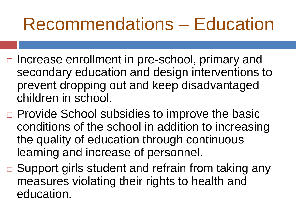### Recommendations – Education

- □ Increase enrollment in pre-school, primary and secondary education and design interventions to prevent dropping out and keep disadvantaged children in school.
- □ Provide School subsidies to improve the basic conditions of the school in addition to increasing the quality of education through continuous learning and increase of personnel.
- $\Box$  Support girls student and refrain from taking any measures violating their rights to health and education.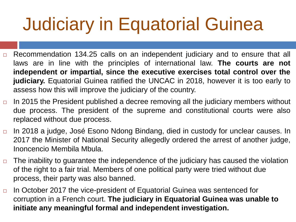## Judiciary in Equatorial Guinea

- $\Box$  Recommendation 134.25 calls on an independent judiciary and to ensure that all laws are in line with the principles of international law. **The courts are not independent or impartial, since the executive exercises total control over the judiciary.** Equatorial Guinea ratified the UNCAC in 2018, however it is too early to assess how this will improve the judiciary of the country.
- In 2015 the President published a decree removing all the judiciary members without due process. The president of the supreme and constitutional courts were also replaced without due process.
- □ In 2018 a judge, José Esono Ndong Bindang, died in custody for unclear causes. In 2017 the Minister of National Security allegedly ordered the arrest of another judge, Inoncencio Membila Mbula.
- $\Box$  The inability to guarantee the independence of the judiciary has caused the violation of the right to a fair trial. Members of one political party were tried without due process, their party was also banned.
- $\Box$  In October 2017 the vice-president of Equatorial Guinea was sentenced for corruption in a French court. **The judiciary in Equatorial Guinea was unable to initiate any meaningful formal and independent investigation.**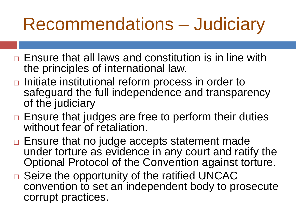### Recommendations – Judiciary

- $\Box$  Ensure that all laws and constitution is in line with the principles of international law.
- $\Box$  Initiate institutional reform process in order to safeguard the full independence and transparency of the judiciary
- $\Box$  Ensure that judges are free to perform their duties without fear of retaliation.
- $\Box$  Ensure that no judge accepts statement made under torture as evidence in any court and ratify the Optional Protocol of the Convention against torture.
- $\Box$  Seize the opportunity of the ratified UNCAC convention to set an independent body to prosecute corrupt practices.